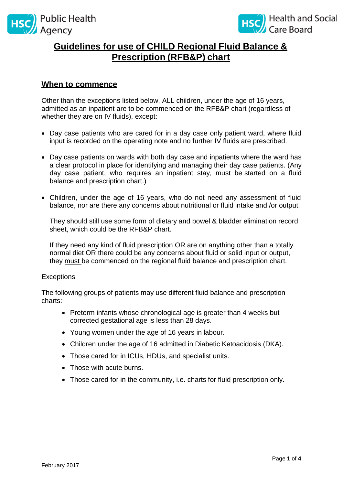



# **Guidelines for use of CHILD Regional Fluid Balance & Prescription (RFB&P) chart**

## **When to commence**

Other than the exceptions listed below, ALL children, under the age of 16 years, admitted as an inpatient are to be commenced on the RFB&P chart (regardless of whether they are on IV fluids), except:

- Day case patients who are cared for in a day case only patient ward, where fluid input is recorded on the operating note and no further IV fluids are prescribed.
- Day case patients on wards with both day case and inpatients where the ward has a clear protocol in place for identifying and managing their day case patients. (Any day case patient, who requires an inpatient stay, must be started on a fluid balance and prescription chart.)
- Children, under the age of 16 years, who do not need any assessment of fluid balance, nor are there any concerns about nutritional or fluid intake and /or output.

They should still use some form of dietary and bowel & bladder elimination record sheet, which could be the RFB&P chart.

If they need any kind of fluid prescription OR are on anything other than a totally normal diet OR there could be any concerns about fluid or solid input or output, they must be commenced on the regional fluid balance and prescription chart.

#### **Exceptions**

The following groups of patients may use different fluid balance and prescription charts:

- Preterm infants whose chronological age is greater than 4 weeks but corrected gestational age is less than 28 days.
- Young women under the age of 16 years in labour.
- Children under the age of 16 admitted in Diabetic Ketoacidosis (DKA).
- Those cared for in ICUs, HDUs, and specialist units.
- Those with acute burns.
- Those cared for in the community, i.e. charts for fluid prescription only.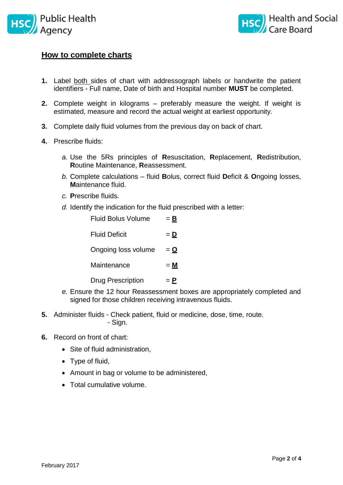



## **How to complete charts**

- **1.** Label both sides of chart with addressograph labels or handwrite the patient identifiers - Full name, Date of birth and Hospital number **MUST** be completed.
- **2.** Complete weight in kilograms preferably measure the weight. If weight is estimated, measure and record the actual weight at earliest opportunity.
- **3.** Complete daily fluid volumes from the previous day on back of chart.
- **4.** Prescribe fluids:
	- *a.* Use the 5Rs principles of **R**esuscitation, **R**eplacement, **R**edistribution, **R**outine Maintenance, **R**eassessment.
	- *b.* Complete calculations fluid **B**olus, correct fluid **D**eficit & **O**ngoing losses, **M**aintenance fluid.
	- *c.* **P**rescribe fluids.
	- *d.* Identify the indication for the fluid prescribed with a letter:

| <b>Fluid Bolus Volume</b> | <u>= B</u>       |
|---------------------------|------------------|
| <b>Fluid Deficit</b>      | $=$ $\mathbf{D}$ |
| Ongoing loss volume       | $=$ $\Omega$     |
| Maintenance               | $= M$            |
| <b>Drug Prescription</b>  | $=$ P            |

- *e.* Ensure the 12 hour Reassessment boxes are appropriately completed and signed for those children receiving intravenous fluids.
- **5.** Administer fluids Check patient, fluid or medicine, dose, time, route. - Sign.
- **6.** Record on front of chart:
	- Site of fluid administration,
	- Type of fluid,
	- Amount in bag or volume to be administered,
	- Total cumulative volume.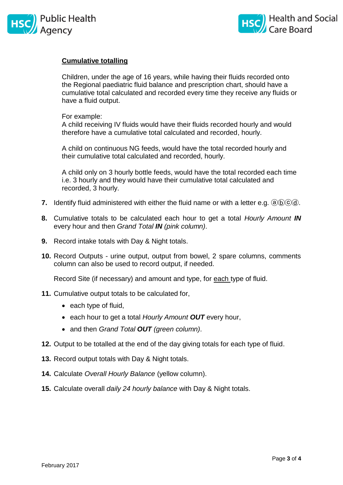



#### **Cumulative totalling**

Children, under the age of 16 years, while having their fluids recorded onto the Regional paediatric fluid balance and prescription chart, should have a cumulative total calculated and recorded every time they receive any fluids or have a fluid output.

#### For example:

A child receiving IV fluids would have their fluids recorded hourly and would therefore have a cumulative total calculated and recorded, hourly.

A child on continuous NG feeds, would have the total recorded hourly and their cumulative total calculated and recorded, hourly.

A child only on 3 hourly bottle feeds, would have the total recorded each time i.e. 3 hourly and they would have their cumulative total calculated and recorded, 3 hourly.

- **7.** Identify fluid administered with either the fluid name or with a letter e.g. @\b\c\d\.
- **8.** Cumulative totals to be calculated each hour to get a total *Hourly Amount IN* every hour and then *Grand Total IN (pink column)*.
- **9.** Record intake totals with Day & Night totals.
- **10.** Record Outputs urine output, output from bowel, 2 spare columns, comments column can also be used to record output, if needed.

Record Site (if necessary) and amount and type, for each type of fluid.

- **11.** Cumulative output totals to be calculated for,
	- each type of fluid,
	- each hour to get a total *Hourly Amount OUT* every hour,
	- and then *Grand Total OUT (green column)*.
- **12.** Output to be totalled at the end of the day giving totals for each type of fluid.
- **13.** Record output totals with Day & Night totals.
- **14.** Calculate *Overall Hourly Balance* (yellow column).
- **15.** Calculate overall *daily 24 hourly balance* with Day & Night totals.